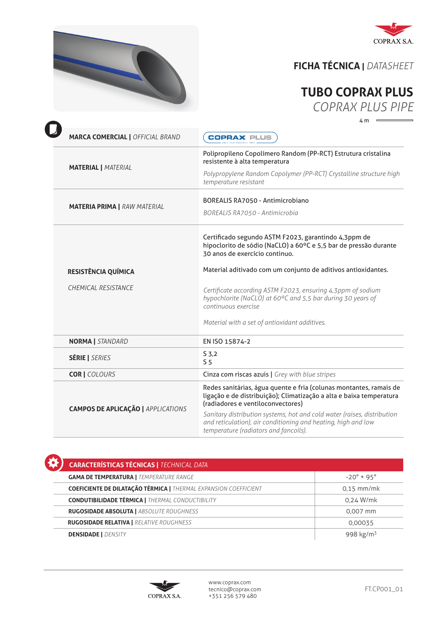



## **FICHA TÉCNICA |** *DATASHEET*

## **TUBO COPRAX PLUS** *COPRAX PLUS PIPE*

4 m

| <b>MARCA COMERCIAL   OFFICIAL BRAND</b>   | <b>COPRAX PLUS</b>                                                                                                                                                                |  |
|-------------------------------------------|-----------------------------------------------------------------------------------------------------------------------------------------------------------------------------------|--|
|                                           | Polipropileno Copolímero Random (PP-RCT) Estrutura cristalina<br>resistente à alta temperatura                                                                                    |  |
| <b>MATERIAL   MATERIAL</b>                | Polypropylene Random Copolymer (PP-RCT) Crystalline structure high<br>temperature resistant                                                                                       |  |
|                                           | <b>BOREALIS RA7050 - Antimicrobiano</b>                                                                                                                                           |  |
| <b>MATERIA PRIMA   RAW MATERIAL</b>       | BOREALIS RA7050 - Antimicrobia                                                                                                                                                    |  |
|                                           | Certificado segundo ASTM F2023, garantindo 4,3ppm de<br>hipoclorito de sódio (NaCLO) a 60°C e 5,5 bar de pressão durante<br>30 anos de exercício continuo.                        |  |
| RESISTÊNCIA QUÍMICA                       | Material aditivado com um conjunto de aditivos antioxidantes.                                                                                                                     |  |
| CHEMICAL RESISTANCE                       | Certificate according ASTM F2023, ensuring 4,3ppm of sodium<br>hypochlorite (NaCLO) at 60°C and 5,5 bar during 30 years of<br>continuous exercise                                 |  |
|                                           | Material with a set of antioxidant additives.                                                                                                                                     |  |
| <b>NORMA</b>   STANDARD                   | EN ISO 15874-2                                                                                                                                                                    |  |
| <b>SÉRIE   SERIES</b>                     | S 3,2<br>5 <sub>5</sub>                                                                                                                                                           |  |
| <b>COR   COLOURS</b>                      | Cinza com riscas azuis   Grey with blue stripes                                                                                                                                   |  |
|                                           | Redes sanitárias, água quente e fria (colunas montantes, ramais de<br>ligação e de distribuição); Climatização a alta e baixa temperatura<br>(radiadores e ventiloconvectores)    |  |
| <b>CAMPOS DE APLICAÇÃO   APPLICATIONS</b> | Sanitary distribution systems, hot and cold water (raises, distribution<br>and reticulation), air conditioning and heating, high and low<br>temperature (radiators and fancoils). |  |

 **CARACTERÍSTICAS TÉCNICAS |** *TECHNICAL DATA* **GAMA DE TEMPERATURA |** *TEMPERATURE RANGE*  $\blacksquare$   $-20^{\circ} + 95^{\circ}$  **COEFICIENTE DE DILATAÇÃO TÉRMICA |** *THERMAL EXPANSION COEFFICIENT* 0,15 mm/mk **CONDUTIBILIDADE TÉRMICA |** *THERMAL CONDUCTIBILITY* 0,24 W/mk **RUGOSIDADE ABSOLUTA |** *ABSOLUTE ROUGHNESS* 0,007 mm  **RUGOSIDADE RELATIVA |** *RELATIVE ROUGHNESS* 0,00035 **DENSIDADE |** *DENSITY* 998 kg/m3